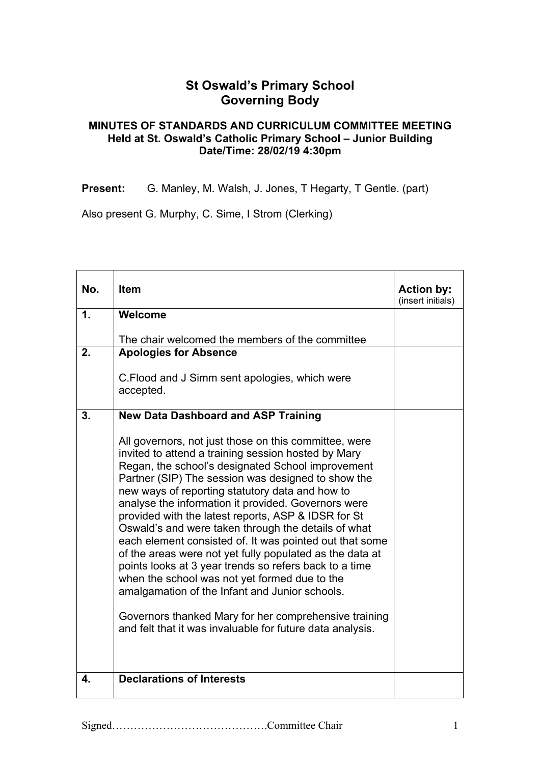## **St Oswald's Primary School Governing Body**

## **MINUTES OF STANDARDS AND CURRICULUM COMMITTEE MEETING Held at St. Oswald's Catholic Primary School – Junior Building Date/Time: 28/02/19 4:30pm**

Present: G. Manley, M. Walsh, J. Jones, T Hegarty, T Gentle. (part)

Also present G. Murphy, C. Sime, I Strom (Clerking)

| No. | <b>Item</b>                                                                                                                                                                                                                                                                                                                                                                                                                                                                                                                                                                                                                                                                                                                                                                                                                                               | <b>Action by:</b><br>(insert initials) |
|-----|-----------------------------------------------------------------------------------------------------------------------------------------------------------------------------------------------------------------------------------------------------------------------------------------------------------------------------------------------------------------------------------------------------------------------------------------------------------------------------------------------------------------------------------------------------------------------------------------------------------------------------------------------------------------------------------------------------------------------------------------------------------------------------------------------------------------------------------------------------------|----------------------------------------|
| 1.  | Welcome                                                                                                                                                                                                                                                                                                                                                                                                                                                                                                                                                                                                                                                                                                                                                                                                                                                   |                                        |
|     | The chair welcomed the members of the committee                                                                                                                                                                                                                                                                                                                                                                                                                                                                                                                                                                                                                                                                                                                                                                                                           |                                        |
| 2.  | <b>Apologies for Absence</b>                                                                                                                                                                                                                                                                                                                                                                                                                                                                                                                                                                                                                                                                                                                                                                                                                              |                                        |
|     | C. Flood and J Simm sent apologies, which were<br>accepted.                                                                                                                                                                                                                                                                                                                                                                                                                                                                                                                                                                                                                                                                                                                                                                                               |                                        |
| 3.  | <b>New Data Dashboard and ASP Training</b>                                                                                                                                                                                                                                                                                                                                                                                                                                                                                                                                                                                                                                                                                                                                                                                                                |                                        |
|     | All governors, not just those on this committee, were<br>invited to attend a training session hosted by Mary<br>Regan, the school's designated School improvement<br>Partner (SIP) The session was designed to show the<br>new ways of reporting statutory data and how to<br>analyse the information it provided. Governors were<br>provided with the latest reports, ASP & IDSR for St<br>Oswald's and were taken through the details of what<br>each element consisted of. It was pointed out that some<br>of the areas were not yet fully populated as the data at<br>points looks at 3 year trends so refers back to a time<br>when the school was not yet formed due to the<br>amalgamation of the Infant and Junior schools.<br>Governors thanked Mary for her comprehensive training<br>and felt that it was invaluable for future data analysis. |                                        |
| 4.  | <b>Declarations of Interests</b>                                                                                                                                                                                                                                                                                                                                                                                                                                                                                                                                                                                                                                                                                                                                                                                                                          |                                        |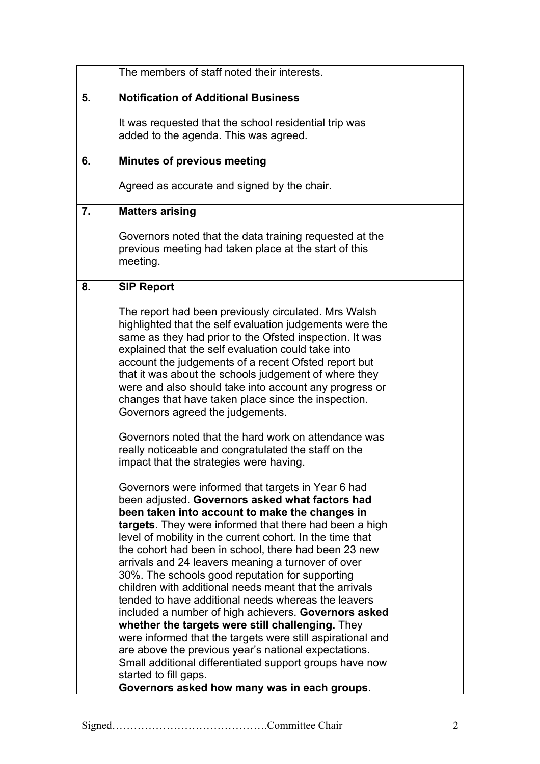|    | The members of staff noted their interests.                                                                                                                                                                                                                                                                                                                                                                                                                                                                                                                                                                                                                                                                                                                                                                                                                                                                                            |  |
|----|----------------------------------------------------------------------------------------------------------------------------------------------------------------------------------------------------------------------------------------------------------------------------------------------------------------------------------------------------------------------------------------------------------------------------------------------------------------------------------------------------------------------------------------------------------------------------------------------------------------------------------------------------------------------------------------------------------------------------------------------------------------------------------------------------------------------------------------------------------------------------------------------------------------------------------------|--|
| 5. | <b>Notification of Additional Business</b>                                                                                                                                                                                                                                                                                                                                                                                                                                                                                                                                                                                                                                                                                                                                                                                                                                                                                             |  |
|    | It was requested that the school residential trip was<br>added to the agenda. This was agreed.                                                                                                                                                                                                                                                                                                                                                                                                                                                                                                                                                                                                                                                                                                                                                                                                                                         |  |
| 6. | <b>Minutes of previous meeting</b>                                                                                                                                                                                                                                                                                                                                                                                                                                                                                                                                                                                                                                                                                                                                                                                                                                                                                                     |  |
|    | Agreed as accurate and signed by the chair.                                                                                                                                                                                                                                                                                                                                                                                                                                                                                                                                                                                                                                                                                                                                                                                                                                                                                            |  |
| 7. | <b>Matters arising</b>                                                                                                                                                                                                                                                                                                                                                                                                                                                                                                                                                                                                                                                                                                                                                                                                                                                                                                                 |  |
|    | Governors noted that the data training requested at the<br>previous meeting had taken place at the start of this<br>meeting.                                                                                                                                                                                                                                                                                                                                                                                                                                                                                                                                                                                                                                                                                                                                                                                                           |  |
| 8. | <b>SIP Report</b>                                                                                                                                                                                                                                                                                                                                                                                                                                                                                                                                                                                                                                                                                                                                                                                                                                                                                                                      |  |
|    | The report had been previously circulated. Mrs Walsh<br>highlighted that the self evaluation judgements were the<br>same as they had prior to the Ofsted inspection. It was<br>explained that the self evaluation could take into<br>account the judgements of a recent Ofsted report but<br>that it was about the schools judgement of where they<br>were and also should take into account any progress or<br>changes that have taken place since the inspection.<br>Governors agreed the judgements.                                                                                                                                                                                                                                                                                                                                                                                                                                |  |
|    | Governors noted that the hard work on attendance was<br>really noticeable and congratulated the staff on the<br>impact that the strategies were having.                                                                                                                                                                                                                                                                                                                                                                                                                                                                                                                                                                                                                                                                                                                                                                                |  |
|    | Governors were informed that targets in Year 6 had<br>been adjusted. Governors asked what factors had<br>been taken into account to make the changes in<br>targets. They were informed that there had been a high<br>level of mobility in the current cohort. In the time that<br>the cohort had been in school, there had been 23 new<br>arrivals and 24 leavers meaning a turnover of over<br>30%. The schools good reputation for supporting<br>children with additional needs meant that the arrivals<br>tended to have additional needs whereas the leavers<br>included a number of high achievers. Governors asked<br>whether the targets were still challenging. They<br>were informed that the targets were still aspirational and<br>are above the previous year's national expectations.<br>Small additional differentiated support groups have now<br>started to fill gaps.<br>Governors asked how many was in each groups. |  |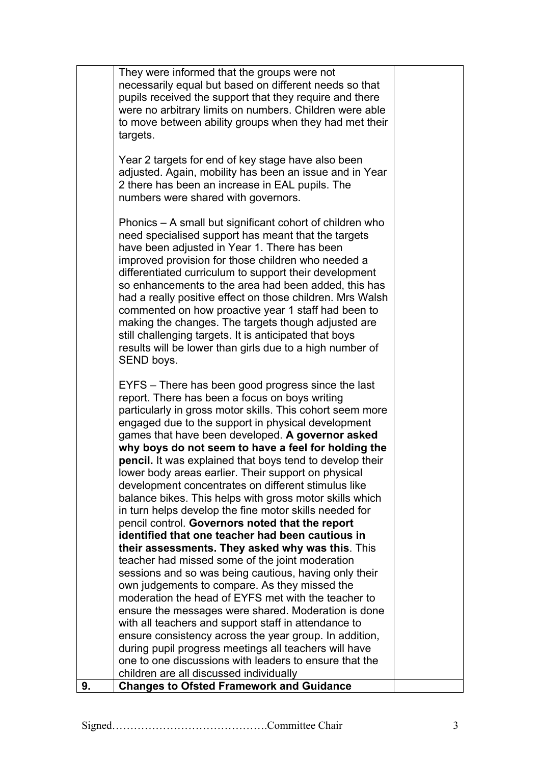|    | They were informed that the groups were not                                                                     |  |
|----|-----------------------------------------------------------------------------------------------------------------|--|
|    | necessarily equal but based on different needs so that                                                          |  |
|    | pupils received the support that they require and there                                                         |  |
|    | were no arbitrary limits on numbers. Children were able                                                         |  |
|    | to move between ability groups when they had met their                                                          |  |
|    | targets.                                                                                                        |  |
|    |                                                                                                                 |  |
|    | Year 2 targets for end of key stage have also been                                                              |  |
|    | adjusted. Again, mobility has been an issue and in Year                                                         |  |
|    | 2 there has been an increase in EAL pupils. The                                                                 |  |
|    | numbers were shared with governors.                                                                             |  |
|    |                                                                                                                 |  |
|    | Phonics – A small but significant cohort of children who                                                        |  |
|    | need specialised support has meant that the targets                                                             |  |
|    | have been adjusted in Year 1. There has been                                                                    |  |
|    | improved provision for those children who needed a                                                              |  |
|    | differentiated curriculum to support their development                                                          |  |
|    | so enhancements to the area had been added, this has                                                            |  |
|    | had a really positive effect on those children. Mrs Walsh                                                       |  |
|    | commented on how proactive year 1 staff had been to                                                             |  |
|    | making the changes. The targets though adjusted are                                                             |  |
|    | still challenging targets. It is anticipated that boys                                                          |  |
|    | results will be lower than girls due to a high number of                                                        |  |
|    | SEND boys.                                                                                                      |  |
|    |                                                                                                                 |  |
|    | EYFS – There has been good progress since the last                                                              |  |
|    | report. There has been a focus on boys writing                                                                  |  |
|    | particularly in gross motor skills. This cohort seem more                                                       |  |
|    | engaged due to the support in physical development                                                              |  |
|    | games that have been developed. A governor asked                                                                |  |
|    | why boys do not seem to have a feel for holding the                                                             |  |
|    | <b>pencil.</b> It was explained that boys tend to develop their                                                 |  |
|    | lower body areas earlier. Their support on physical                                                             |  |
|    | development concentrates on different stimulus like                                                             |  |
|    | balance bikes. This helps with gross motor skills which                                                         |  |
|    | in turn helps develop the fine motor skills needed for                                                          |  |
|    | pencil control. Governors noted that the report                                                                 |  |
|    | identified that one teacher had been cautious in                                                                |  |
|    | their assessments. They asked why was this. This                                                                |  |
|    | teacher had missed some of the joint moderation                                                                 |  |
|    | sessions and so was being cautious, having only their                                                           |  |
|    | own judgements to compare. As they missed the<br>moderation the head of EYFS met with the teacher to            |  |
|    |                                                                                                                 |  |
|    | ensure the messages were shared. Moderation is done<br>with all teachers and support staff in attendance to     |  |
|    |                                                                                                                 |  |
|    | ensure consistency across the year group. In addition,<br>during pupil progress meetings all teachers will have |  |
|    | one to one discussions with leaders to ensure that the                                                          |  |
|    | children are all discussed individually                                                                         |  |
| 9. | <b>Changes to Ofsted Framework and Guidance</b>                                                                 |  |
|    |                                                                                                                 |  |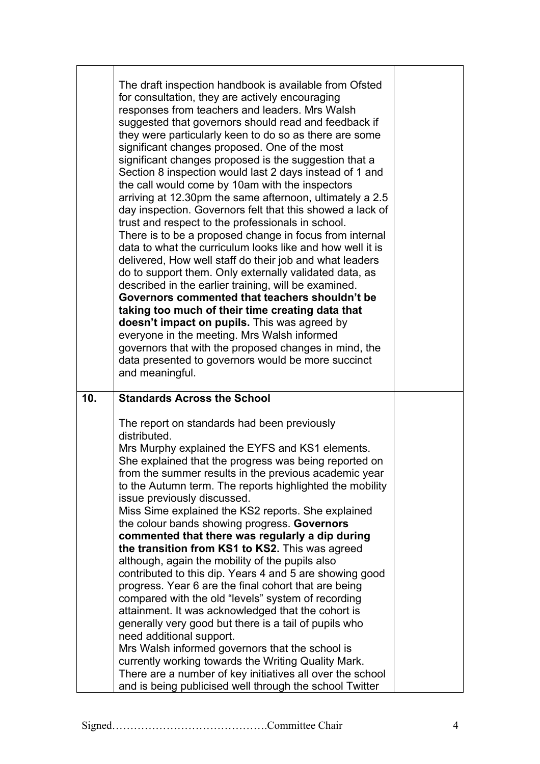|     | The draft inspection handbook is available from Ofsted<br>for consultation, they are actively encouraging<br>responses from teachers and leaders. Mrs Walsh<br>suggested that governors should read and feedback if<br>they were particularly keen to do so as there are some<br>significant changes proposed. One of the most<br>significant changes proposed is the suggestion that a<br>Section 8 inspection would last 2 days instead of 1 and<br>the call would come by 10am with the inspectors<br>arriving at 12.30pm the same afternoon, ultimately a 2.5<br>day inspection. Governors felt that this showed a lack of<br>trust and respect to the professionals in school.<br>There is to be a proposed change in focus from internal<br>data to what the curriculum looks like and how well it is<br>delivered, How well staff do their job and what leaders<br>do to support them. Only externally validated data, as<br>described in the earlier training, will be examined.<br>Governors commented that teachers shouldn't be<br>taking too much of their time creating data that<br>doesn't impact on pupils. This was agreed by<br>everyone in the meeting. Mrs Walsh informed<br>governors that with the proposed changes in mind, the<br>data presented to governors would be more succinct<br>and meaningful. |  |
|-----|---------------------------------------------------------------------------------------------------------------------------------------------------------------------------------------------------------------------------------------------------------------------------------------------------------------------------------------------------------------------------------------------------------------------------------------------------------------------------------------------------------------------------------------------------------------------------------------------------------------------------------------------------------------------------------------------------------------------------------------------------------------------------------------------------------------------------------------------------------------------------------------------------------------------------------------------------------------------------------------------------------------------------------------------------------------------------------------------------------------------------------------------------------------------------------------------------------------------------------------------------------------------------------------------------------------------------------|--|
|     |                                                                                                                                                                                                                                                                                                                                                                                                                                                                                                                                                                                                                                                                                                                                                                                                                                                                                                                                                                                                                                                                                                                                                                                                                                                                                                                                 |  |
| 10. | <b>Standards Across the School</b>                                                                                                                                                                                                                                                                                                                                                                                                                                                                                                                                                                                                                                                                                                                                                                                                                                                                                                                                                                                                                                                                                                                                                                                                                                                                                              |  |
|     | The report on standards had been previously<br>distributed.                                                                                                                                                                                                                                                                                                                                                                                                                                                                                                                                                                                                                                                                                                                                                                                                                                                                                                                                                                                                                                                                                                                                                                                                                                                                     |  |
|     | Mrs Murphy explained the EYFS and KS1 elements.                                                                                                                                                                                                                                                                                                                                                                                                                                                                                                                                                                                                                                                                                                                                                                                                                                                                                                                                                                                                                                                                                                                                                                                                                                                                                 |  |
|     | She explained that the progress was being reported on                                                                                                                                                                                                                                                                                                                                                                                                                                                                                                                                                                                                                                                                                                                                                                                                                                                                                                                                                                                                                                                                                                                                                                                                                                                                           |  |
|     | from the summer results in the previous academic year<br>to the Autumn term. The reports highlighted the mobility                                                                                                                                                                                                                                                                                                                                                                                                                                                                                                                                                                                                                                                                                                                                                                                                                                                                                                                                                                                                                                                                                                                                                                                                               |  |
|     | issue previously discussed.                                                                                                                                                                                                                                                                                                                                                                                                                                                                                                                                                                                                                                                                                                                                                                                                                                                                                                                                                                                                                                                                                                                                                                                                                                                                                                     |  |
|     | Miss Sime explained the KS2 reports. She explained<br>the colour bands showing progress. Governors                                                                                                                                                                                                                                                                                                                                                                                                                                                                                                                                                                                                                                                                                                                                                                                                                                                                                                                                                                                                                                                                                                                                                                                                                              |  |
|     | commented that there was regularly a dip during                                                                                                                                                                                                                                                                                                                                                                                                                                                                                                                                                                                                                                                                                                                                                                                                                                                                                                                                                                                                                                                                                                                                                                                                                                                                                 |  |
|     | the transition from KS1 to KS2. This was agreed                                                                                                                                                                                                                                                                                                                                                                                                                                                                                                                                                                                                                                                                                                                                                                                                                                                                                                                                                                                                                                                                                                                                                                                                                                                                                 |  |
|     | although, again the mobility of the pupils also                                                                                                                                                                                                                                                                                                                                                                                                                                                                                                                                                                                                                                                                                                                                                                                                                                                                                                                                                                                                                                                                                                                                                                                                                                                                                 |  |
|     | contributed to this dip. Years 4 and 5 are showing good<br>progress. Year 6 are the final cohort that are being                                                                                                                                                                                                                                                                                                                                                                                                                                                                                                                                                                                                                                                                                                                                                                                                                                                                                                                                                                                                                                                                                                                                                                                                                 |  |
|     | compared with the old "levels" system of recording                                                                                                                                                                                                                                                                                                                                                                                                                                                                                                                                                                                                                                                                                                                                                                                                                                                                                                                                                                                                                                                                                                                                                                                                                                                                              |  |
|     | attainment. It was acknowledged that the cohort is                                                                                                                                                                                                                                                                                                                                                                                                                                                                                                                                                                                                                                                                                                                                                                                                                                                                                                                                                                                                                                                                                                                                                                                                                                                                              |  |
|     | generally very good but there is a tail of pupils who                                                                                                                                                                                                                                                                                                                                                                                                                                                                                                                                                                                                                                                                                                                                                                                                                                                                                                                                                                                                                                                                                                                                                                                                                                                                           |  |
|     | need additional support.                                                                                                                                                                                                                                                                                                                                                                                                                                                                                                                                                                                                                                                                                                                                                                                                                                                                                                                                                                                                                                                                                                                                                                                                                                                                                                        |  |
|     | Mrs Walsh informed governors that the school is<br>currently working towards the Writing Quality Mark.                                                                                                                                                                                                                                                                                                                                                                                                                                                                                                                                                                                                                                                                                                                                                                                                                                                                                                                                                                                                                                                                                                                                                                                                                          |  |
|     | There are a number of key initiatives all over the school<br>and is being publicised well through the school Twitter                                                                                                                                                                                                                                                                                                                                                                                                                                                                                                                                                                                                                                                                                                                                                                                                                                                                                                                                                                                                                                                                                                                                                                                                            |  |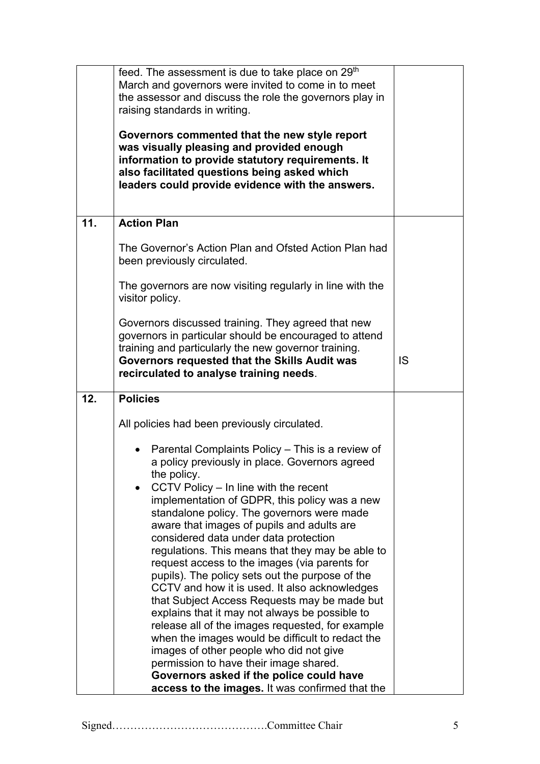|     | feed. The assessment is due to take place on 29 <sup>th</sup><br>March and governors were invited to come in to meet<br>the assessor and discuss the role the governors play in<br>raising standards in writing.<br>Governors commented that the new style report<br>was visually pleasing and provided enough<br>information to provide statutory requirements. It<br>also facilitated questions being asked which<br>leaders could provide evidence with the answers.                                                                                                                                                                                                                                                                                                                                                                                                                                                                                 |    |
|-----|---------------------------------------------------------------------------------------------------------------------------------------------------------------------------------------------------------------------------------------------------------------------------------------------------------------------------------------------------------------------------------------------------------------------------------------------------------------------------------------------------------------------------------------------------------------------------------------------------------------------------------------------------------------------------------------------------------------------------------------------------------------------------------------------------------------------------------------------------------------------------------------------------------------------------------------------------------|----|
| 11. | <b>Action Plan</b>                                                                                                                                                                                                                                                                                                                                                                                                                                                                                                                                                                                                                                                                                                                                                                                                                                                                                                                                      |    |
|     | The Governor's Action Plan and Ofsted Action Plan had<br>been previously circulated.                                                                                                                                                                                                                                                                                                                                                                                                                                                                                                                                                                                                                                                                                                                                                                                                                                                                    |    |
|     | The governors are now visiting regularly in line with the<br>visitor policy.                                                                                                                                                                                                                                                                                                                                                                                                                                                                                                                                                                                                                                                                                                                                                                                                                                                                            |    |
|     | Governors discussed training. They agreed that new<br>governors in particular should be encouraged to attend<br>training and particularly the new governor training.<br>Governors requested that the Skills Audit was<br>recirculated to analyse training needs.                                                                                                                                                                                                                                                                                                                                                                                                                                                                                                                                                                                                                                                                                        | IS |
| 12. | <b>Policies</b>                                                                                                                                                                                                                                                                                                                                                                                                                                                                                                                                                                                                                                                                                                                                                                                                                                                                                                                                         |    |
|     | All policies had been previously circulated.                                                                                                                                                                                                                                                                                                                                                                                                                                                                                                                                                                                                                                                                                                                                                                                                                                                                                                            |    |
|     | Parental Complaints Policy - This is a review of<br>a policy previously in place. Governors agreed<br>the policy.<br>CCTV Policy - In line with the recent<br>implementation of GDPR, this policy was a new<br>standalone policy. The governors were made<br>aware that images of pupils and adults are<br>considered data under data protection<br>regulations. This means that they may be able to<br>request access to the images (via parents for<br>pupils). The policy sets out the purpose of the<br>CCTV and how it is used. It also acknowledges<br>that Subject Access Requests may be made but<br>explains that it may not always be possible to<br>release all of the images requested, for example<br>when the images would be difficult to redact the<br>images of other people who did not give<br>permission to have their image shared.<br>Governors asked if the police could have<br>access to the images. It was confirmed that the |    |